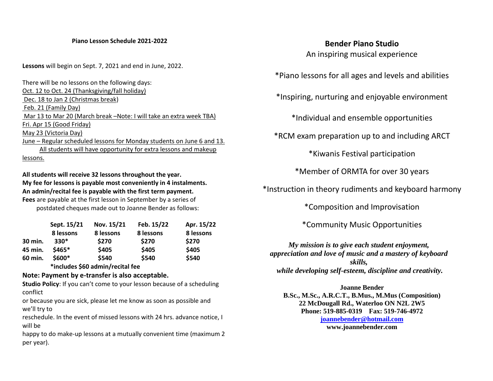#### **Piano Lesson Schedule 2021-2022**

**Lessons** will begin on Sept. 7, 2021 and end in June, 2022.

There will be no lessons on the following days: Oct. 12 to Oct. 24 (Thanksgiving/fall holiday) Dec. 18 to Jan 2 (Christmas break) Feb. 21 (Family Day) Mar 13 to Mar 20 (March break –Note: I will take an extra week TBA) Fri. Apr 15 (Good Friday) May 23 (Victoria Day) June – Regular scheduled lessons for Monday students on June 6 and 13. All students will have opportunity for extra lessons and makeup lessons.

# **All students will receive 32 lessons throughout the year. My fee for lessons is payable most conveniently in 4 instalments. An admin/recital fee is payable with the first term payment. Fees** are payable at the first lesson in September by a series of

postdated cheques made out to Joanne Bender as follows:

|         | Sept. 15/21 | Nov. 15/21 | Feb. 15/22 | Apr. 15/22 |
|---------|-------------|------------|------------|------------|
|         | 8 lessons   | 8 lessons  | 8 lessons  | 8 lessons  |
| 30 min. | $330*$      | \$270      | \$270      | \$270      |
| 45 min. | $$465*$     | \$405      | \$405      | \$405      |
| 60 min. | $$600*$     | \$540      | \$540      | \$540      |

 **\*includes \$60 admin/recital fee**

## **Note: Payment by e-transfer is also acceptable.**

**Studio Policy**: If you can't come to your lesson because of a scheduling conflict

or because you are sick, please let me know as soon as possible and we'll try to

reschedule. In the event of missed lessons with 24 hrs. advance notice, I will be

happy to do make-up lessons at a mutually convenient time (maximum 2 per year).

## **Bender Piano Studio**

An inspiring musical experience

\*Piano lessons for all ages and levels and abilities

\*Inspiring, nurturing and enjoyable environment

\*Individual and ensemble opportunities

\*RCM exam preparation up to and including ARCT

\*Kiwanis Festival participation

\*Member of ORMTA for over 30 years

\*Instruction in theory rudiments and keyboard harmony

\*Composition and Improvisation

\*Community Music Opportunities

*My mission is to give each student enjoyment, appreciation and love of music and a mastery of keyboard skills, while developing self-esteem, discipline and creativity.*

#### **Joanne Bender**

**B.Sc., M.Sc., A.R.C.T., B.Mus., M.Mus (Composition) 22 McDougall Rd., Waterloo ON N2L 2W5 Phone: 519-885-0319 Fax: 519-746-4972 [joannebender@hotmail.com](mailto:Joannebender@hotmail.com) www.joannebender.com**